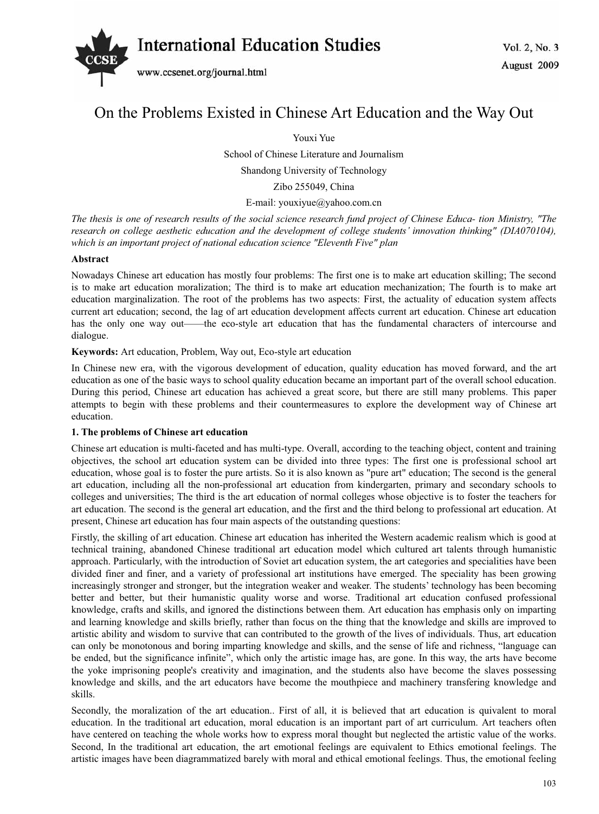

# On the Problems Existed in Chinese Art Education and the Way Out

Youxi Yue

School of Chinese Literature and Journalism

Shandong University of Technology

Zibo 255049, China

## E-mail: youxiyue@yahoo.com.cn

*The thesis is one of research results of the social science research fund project of Chinese Educa- tion Ministry, "The research on college aesthetic education and the development of college students' innovation thinking" (DIA070104), which is an important project of national education science "Eleventh Five" plan* 

## **Abstract**

Nowadays Chinese art education has mostly four problems: The first one is to make art education skilling; The second is to make art education moralization; The third is to make art education mechanization; The fourth is to make art education marginalization. The root of the problems has two aspects: First, the actuality of education system affects current art education; second, the lag of art education development affects current art education. Chinese art education has the only one way out——the eco-style art education that has the fundamental characters of intercourse and dialogue.

**Keywords:** Art education, Problem, Way out, Eco-style art education

In Chinese new era, with the vigorous development of education, quality education has moved forward, and the art education as one of the basic ways to school quality education became an important part of the overall school education. During this period, Chinese art education has achieved a great score, but there are still many problems. This paper attempts to begin with these problems and their countermeasures to explore the development way of Chinese art education.

# **1. The problems of Chinese art education**

Chinese art education is multi-faceted and has multi-type. Overall, according to the teaching object, content and training objectives, the school art education system can be divided into three types: The first one is professional school art education, whose goal is to foster the pure artists. So it is also known as "pure art" education; The second is the general art education, including all the non-professional art education from kindergarten, primary and secondary schools to colleges and universities; The third is the art education of normal colleges whose objective is to foster the teachers for art education. The second is the general art education, and the first and the third belong to professional art education. At present, Chinese art education has four main aspects of the outstanding questions:

Firstly, the skilling of art education. Chinese art education has inherited the Western academic realism which is good at technical training, abandoned Chinese traditional art education model which cultured art talents through humanistic approach. Particularly, with the introduction of Soviet art education system, the art categories and specialities have been divided finer and finer, and a variety of professional art institutions have emerged. The speciality has been growing increasingly stronger and stronger, but the integration weaker and weaker. The students' technology has been becoming better and better, but their humanistic quality worse and worse. Traditional art education confused professional knowledge, crafts and skills, and ignored the distinctions between them. Art education has emphasis only on imparting and learning knowledge and skills briefly, rather than focus on the thing that the knowledge and skills are improved to artistic ability and wisdom to survive that can contributed to the growth of the lives of individuals. Thus, art education can only be monotonous and boring imparting knowledge and skills, and the sense of life and richness, "language can be ended, but the significance infinite", which only the artistic image has, are gone. In this way, the arts have become the yoke imprisoning people's creativity and imagination, and the students also have become the slaves possessing knowledge and skills, and the art educators have become the mouthpiece and machinery transfering knowledge and skills.

Secondly, the moralization of the art education.. First of all, it is believed that art education is quivalent to moral education. In the traditional art education, moral education is an important part of art curriculum. Art teachers often have centered on teaching the whole works how to express moral thought but neglected the artistic value of the works. Second, In the traditional art education, the art emotional feelings are equivalent to Ethics emotional feelings. The artistic images have been diagrammatized barely with moral and ethical emotional feelings. Thus, the emotional feeling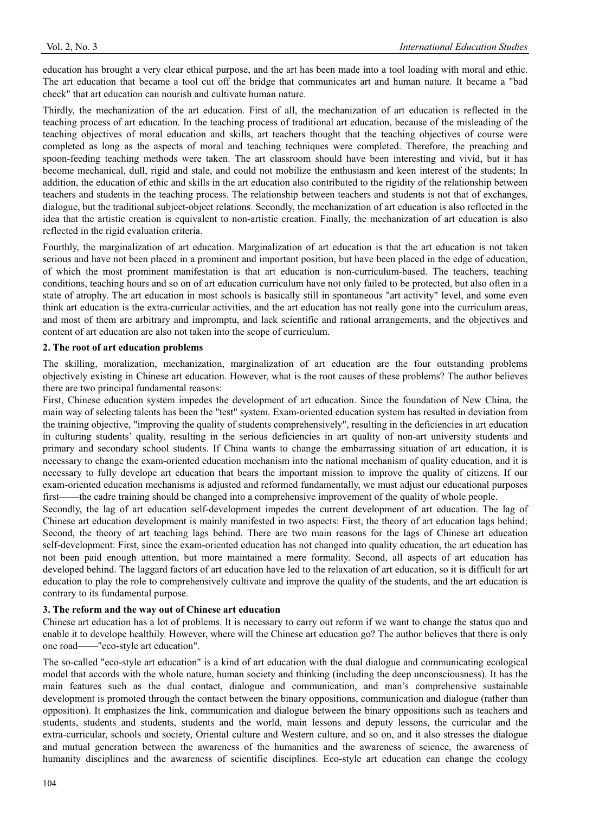education has brought a very clear ethical purpose, and the art has been made into a tool loading with moral and ethic. The art education that became a tool cut off the bridge that communicates art and human nature. It became a "bad check" that art education can nourish and cultivate human nature.

Thirdly, the mechanization of the art education. First of all, the mechanization of art education is reflected in the teaching process of art education. In the teaching process of traditional art education, because of the misleading of the teaching objectives of moral education and skills, art teachers thought that the teaching objectives of course were completed as long as the aspects of moral and teaching techniques were completed. Therefore, the preaching and spoon-feeding teaching methods were taken. The art classroom should have been interesting and vivid, but it has become mechanical, dull, rigid and stale, and could not mobilize the enthusiasm and keen interest of the students; In addition, the education of ethic and skills in the art education also contributed to the rigidity of the relationship between teachers and students in the teaching process. The relationship between teachers and students is not that of exchanges, dialogue, but the traditional subject-object relations. Secondly, the mechanization of art education is also reflected in the idea that the artistic creation is equivalent to non-artistic creation. Finally, the mechanization of art education is also reflected in the rigid evaluation criteria.

Fourthly, the marginalization of art education. Marginalization of art education is that the art education is not taken serious and have not been placed in a prominent and important position, but have been placed in the edge of education, of which the most prominent manifestation is that art education is non-curriculum-based. The teachers, teaching conditions, teaching hours and so on of art education curriculum have not only failed to be protected, but also often in a state of atrophy. The art education in most schools is basically still in spontaneous "art activity" level, and some even think art education is the extra-curricular activities, and the art education has not really gone into the curriculum areas, and most of them are arbitrary and impromptu, and lack scientific and rational arrangements, and the objectives and content of art education are also not taken into the scope of curriculum.

#### **2. The root of art education problems**

The skilling, moralization, mechanization, marginalization of art education are the four outstanding problems objectively existing in Chinese art education. However, what is the root causes of these problems? The author believes there are two principal fundamental reasons:

First, Chinese education system impedes the development of art education. Since the foundation of New China, the main way of selecting talents has been the "test" system. Exam-oriented education system has resulted in deviation from the training objective, "improving the quality of students comprehensively", resulting in the deficiencies in art education in culturing students' quality, resulting in the serious deficiencies in art quality of non-art university students and primary and secondary school students. If China wants to change the embarrassing situation of art education, it is necessary to change the exam-oriented education mechanism into the national mechanism of quality education, and it is necessary to fully develope art education that bears the important mission to improve the quality of citizens. If our exam-oriented education mechanisms is adjusted and reformed fundamentally, we must adjust our educational purposes first——the cadre training should be changed into a comprehensive improvement of the quality of whole people.

Secondly, the lag of art education self-development impedes the current development of art education. The lag of Chinese art education development is mainly manifested in two aspects: First, the theory of art education lags behind; Second, the theory of art teaching lags behind. There are two main reasons for the lags of Chinese art education self-development: First, since the exam-oriented education has not changed into quality education, the art education has not been paid enough attention, but more maintained a mere formality. Second, all aspects of art education has developed behind. The laggard factors of art education have led to the relaxation of art education, so it is difficult for art education to play the role to comprehensively cultivate and improve the quality of the students, and the art education is contrary to its fundamental purpose.

#### **3. The reform and the way out of Chinese art education**

Chinese art education has a lot of problems. It is necessary to carry out reform if we want to change the status quo and enable it to develope healthily. However, where will the Chinese art education go? The author believes that there is only one road——"eco-style art education".

The so-called "eco-style art education" is a kind of art education with the dual dialogue and communicating ecological model that accords with the whole nature, human society and thinking (including the deep unconsciousness). It has the main features such as the dual contact, dialogue and communication, and man's comprehensive sustainable development is promoted through the contact between the binary oppositions, communication and dialogue (rather than opposition). It emphasizes the link, communication and dialogue between the binary oppositions such as teachers and students, students and students, students and the world, main lessons and deputy lessons, the curricular and the extra-curricular, schools and society, Oriental culture and Western culture, and so on, and it also stresses the dialogue and mutual generation between the awareness of the humanities and the awareness of science, the awareness of humanity disciplines and the awareness of scientific disciplines. Eco-style art education can change the ecology